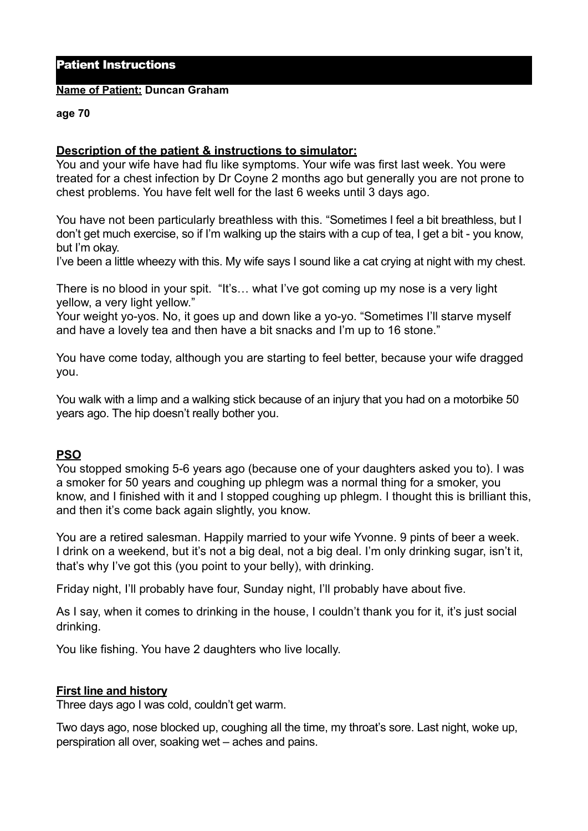## Patient Instructions

#### **Name of Patient: Duncan Graham**

#### **age 70**

### **Description of the patient & instructions to simulator:**

You and your wife have had flu like symptoms. Your wife was first last week. You were treated for a chest infection by Dr Coyne 2 months ago but generally you are not prone to chest problems. You have felt well for the last 6 weeks until 3 days ago.

You have not been particularly breathless with this. "Sometimes I feel a bit breathless, but I don't get much exercise, so if I'm walking up the stairs with a cup of tea, I get a bit - you know, but I'm okay.

I've been a little wheezy with this. My wife says I sound like a cat crying at night with my chest.

There is no blood in your spit. "It's… what I've got coming up my nose is a very light yellow, a very light yellow."

Your weight yo-yos. No, it goes up and down like a yo-yo. "Sometimes I'll starve myself and have a lovely tea and then have a bit snacks and I'm up to 16 stone."

You have come today, although you are starting to feel better, because your wife dragged you.

You walk with a limp and a walking stick because of an injury that you had on a motorbike 50 years ago. The hip doesn't really bother you.

# **PSO**

You stopped smoking 5-6 years ago (because one of your daughters asked you to). I was a smoker for 50 years and coughing up phlegm was a normal thing for a smoker, you know, and I finished with it and I stopped coughing up phlegm. I thought this is brilliant this, and then it's come back again slightly, you know.

You are a retired salesman. Happily married to your wife Yvonne. 9 pints of beer a week. I drink on a weekend, but it's not a big deal, not a big deal. I'm only drinking sugar, isn't it, that's why I've got this (you point to your belly), with drinking.

Friday night, I'll probably have four, Sunday night, I'll probably have about five.

As I say, when it comes to drinking in the house, I couldn't thank you for it, it's just social drinking.

You like fishing. You have 2 daughters who live locally.

### **First line and history**

Three days ago I was cold, couldn't get warm.

Two days ago, nose blocked up, coughing all the time, my throat's sore. Last night, woke up, perspiration all over, soaking wet – aches and pains.